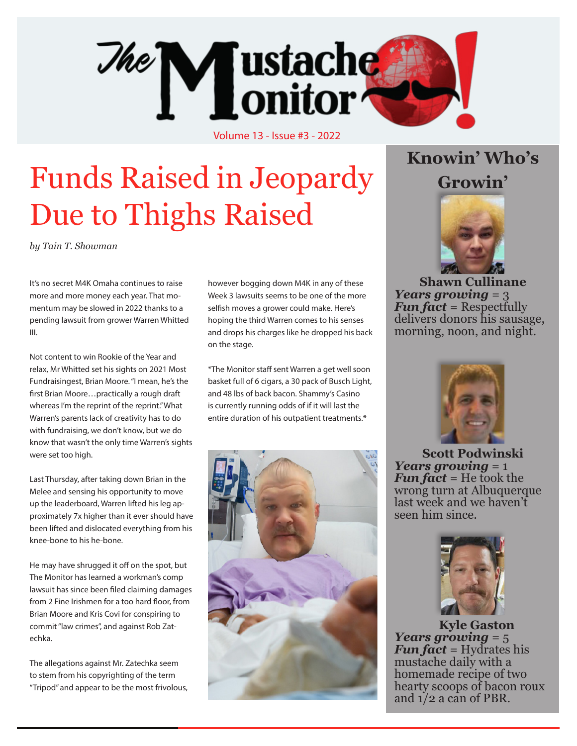

Volume 13 - Issue #3 - 2022

# Funds Raised in Jeopardy Due to Thighs Raised

*by Tain T. Showman*

It's no secret M4K Omaha continues to raise more and more money each year. That momentum may be slowed in 2022 thanks to a pending lawsuit from grower Warren Whitted III.

Not content to win Rookie of the Year and relax, Mr Whitted set his sights on 2021 Most Fundraisingest, Brian Moore. "I mean, he's the first Brian Moore…practically a rough draft whereas I'm the reprint of the reprint." What Warren's parents lack of creativity has to do with fundraising, we don't know, but we do know that wasn't the only time Warren's sights were set too high.

Last Thursday, after taking down Brian in the Melee and sensing his opportunity to move up the leaderboard, Warren lifted his leg approximately 7x higher than it ever should have been lifted and dislocated everything from his knee-bone to his he-bone.

He may have shrugged it off on the spot, but The Monitor has learned a workman's comp lawsuit has since been filed claiming damages from 2 Fine Irishmen for a too hard floor, from Brian Moore and Kris Covi for conspiring to commit "law crimes", and against Rob Zatechka.

The allegations against Mr. Zatechka seem to stem from his copyrighting of the term "Tripod" and appear to be the most frivolous, however bogging down M4K in any of these Week 3 lawsuits seems to be one of the more selfish moves a grower could make. Here's hoping the third Warren comes to his senses and drops his charges like he dropped his back on the stage.

\*The Monitor staff sent Warren a get well soon basket full of 6 cigars, a 30 pack of Busch Light, and 48 lbs of back bacon. Shammy's Casino is currently running odds of if it will last the entire duration of his outpatient treatments.\*



### **Knowin' Who's Growin'**



**Shawn Cullinane** *Years growing* = 3 *Fun fact* = Respectfully delivers donors his sausage, morning, noon, and night.



**Scott Podwinski** *Years growing* = 1 *Fun fact* = He took the wrong turn at Albuquerque last week and we haven't seen him since.



**Kyle Gaston** *Years growing* = 5 *Fun fact* = Hydrates his mustache daily with a homemade recipe of two hearty scoops of bacon roux and 1/2 a can of PBR.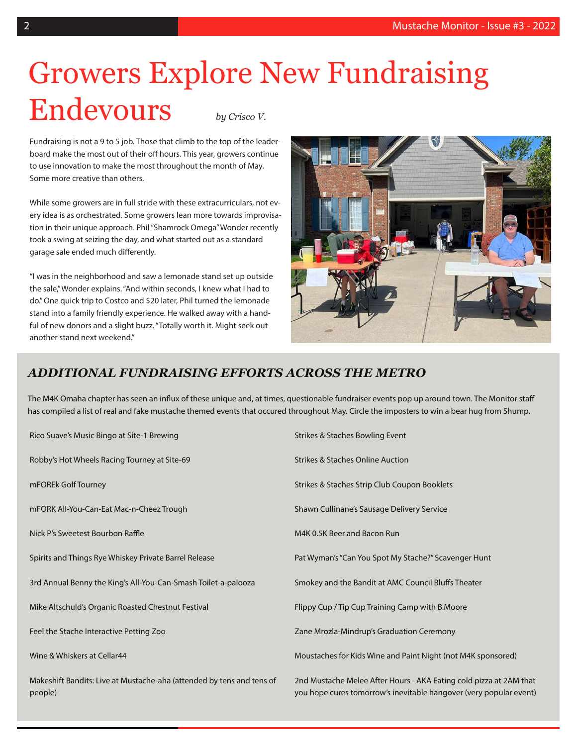### Growers Explore New Fundraising Endevours *by Crisco V.*

Fundraising is not a 9 to 5 job. Those that climb to the top of the leaderboard make the most out of their off hours. This year, growers continue to use innovation to make the most throughout the month of May. Some more creative than others.

While some growers are in full stride with these extracurriculars, not every idea is as orchestrated. Some growers lean more towards improvisation in their unique approach. Phil "Shamrock Omega" Wonder recently took a swing at seizing the day, and what started out as a standard garage sale ended much differently.

"I was in the neighborhood and saw a lemonade stand set up outside the sale," Wonder explains. "And within seconds, I knew what I had to do." One quick trip to Costco and \$20 later, Phil turned the lemonade stand into a family friendly experience. He walked away with a handful of new donors and a slight buzz. "Totally worth it. Might seek out another stand next weekend."



### *ADDITIONAL FUNDRAISING EFFORTS ACROSS THE METRO*

The M4K Omaha chapter has seen an influx of these unique and, at times, questionable fundraiser events pop up around town. The Monitor staff has compiled a list of real and fake mustache themed events that occured throughout May. Circle the imposters to win a bear hug from Shump.

| Rico Suave's Music Bingo at Site-1 Brewing                                       | Strikes & Staches Bowling Event                                                                                                          |
|----------------------------------------------------------------------------------|------------------------------------------------------------------------------------------------------------------------------------------|
| Robby's Hot Wheels Racing Tourney at Site-69                                     | <b>Strikes &amp; Staches Online Auction</b>                                                                                              |
| mFOREk Golf Tourney                                                              | Strikes & Staches Strip Club Coupon Booklets                                                                                             |
| mFORK All-You-Can-Eat Mac-n-Cheez Trough                                         | Shawn Cullinane's Sausage Delivery Service                                                                                               |
| Nick P's Sweetest Bourbon Raffle                                                 | M4K 0.5K Beer and Bacon Run                                                                                                              |
| Spirits and Things Rye Whiskey Private Barrel Release                            | Pat Wyman's "Can You Spot My Stache?" Scavenger Hunt                                                                                     |
| 3rd Annual Benny the King's All-You-Can-Smash Toilet-a-palooza                   | Smokey and the Bandit at AMC Council Bluffs Theater                                                                                      |
| Mike Altschuld's Organic Roasted Chestnut Festival                               | Flippy Cup / Tip Cup Training Camp with B.Moore                                                                                          |
| Feel the Stache Interactive Petting Zoo                                          | Zane Mrozla-Mindrup's Graduation Ceremony                                                                                                |
| Wine & Whiskers at Cellar44                                                      | Moustaches for Kids Wine and Paint Night (not M4K sponsored)                                                                             |
| Makeshift Bandits: Live at Mustache-aha (attended by tens and tens of<br>people) | 2nd Mustache Melee After Hours - AKA Eating cold pizza at 2AM that<br>you hope cures tomorrow's inevitable hangover (very popular event) |